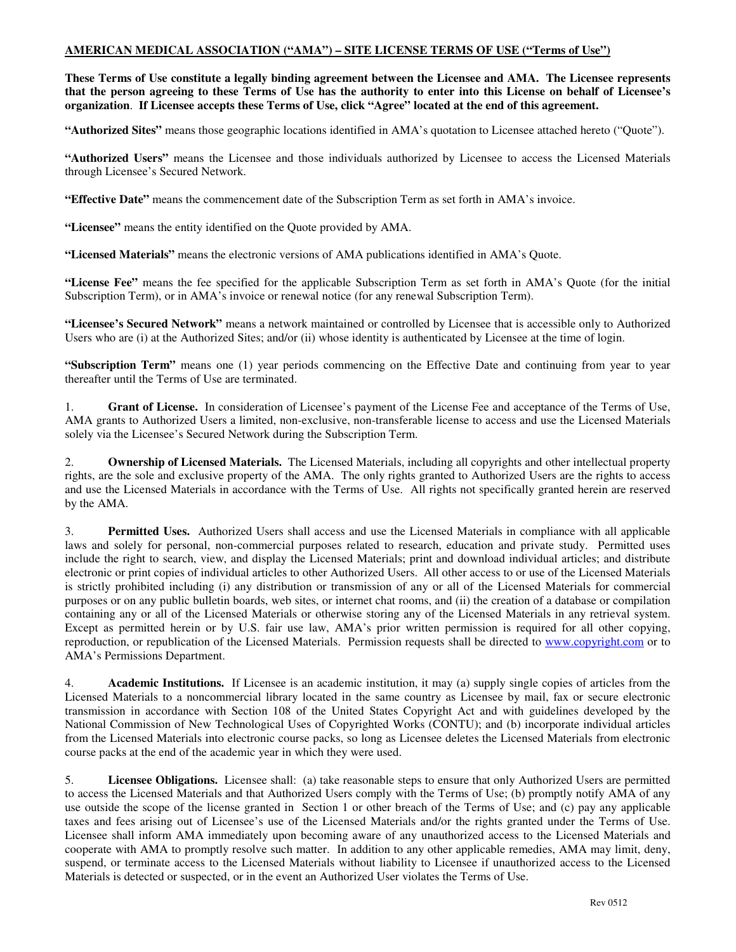## **AMERICAN MEDICAL ASSOCIATION ("AMA") – SITE LICENSE TERMS OF USE ("Terms of Use")**

**These Terms of Use constitute a legally binding agreement between the Licensee and AMA. The Licensee represents that the person agreeing to these Terms of Use has the authority to enter into this License on behalf of Licensee's organization**. **If Licensee accepts these Terms of Use, click "Agree" located at the end of this agreement.** 

**"Authorized Sites"** means those geographic locations identified in AMA's quotation to Licensee attached hereto ("Quote").

**"Authorized Users"** means the Licensee and those individuals authorized by Licensee to access the Licensed Materials through Licensee's Secured Network.

**"Effective Date"** means the commencement date of the Subscription Term as set forth in AMA's invoice.

**"Licensee"** means the entity identified on the Quote provided by AMA.

**"Licensed Materials"** means the electronic versions of AMA publications identified in AMA's Quote.

**"License Fee"** means the fee specified for the applicable Subscription Term as set forth in AMA's Quote (for the initial Subscription Term), or in AMA's invoice or renewal notice (for any renewal Subscription Term).

**"Licensee's Secured Network"** means a network maintained or controlled by Licensee that is accessible only to Authorized Users who are (i) at the Authorized Sites; and/or (ii) whose identity is authenticated by Licensee at the time of login.

**"Subscription Term"** means one (1) year periods commencing on the Effective Date and continuing from year to year thereafter until the Terms of Use are terminated.

1. **Grant of License.** In consideration of Licensee's payment of the License Fee and acceptance of the Terms of Use, AMA grants to Authorized Users a limited, non-exclusive, non-transferable license to access and use the Licensed Materials solely via the Licensee's Secured Network during the Subscription Term.

2. **Ownership of Licensed Materials.** The Licensed Materials, including all copyrights and other intellectual property rights, are the sole and exclusive property of the AMA. The only rights granted to Authorized Users are the rights to access and use the Licensed Materials in accordance with the Terms of Use. All rights not specifically granted herein are reserved by the AMA.

3. **Permitted Uses.** Authorized Users shall access and use the Licensed Materials in compliance with all applicable laws and solely for personal, non-commercial purposes related to research, education and private study. Permitted uses include the right to search, view, and display the Licensed Materials; print and download individual articles; and distribute electronic or print copies of individual articles to other Authorized Users. All other access to or use of the Licensed Materials is strictly prohibited including (i) any distribution or transmission of any or all of the Licensed Materials for commercial purposes or on any public bulletin boards, web sites, or internet chat rooms, and (ii) the creation of a database or compilation containing any or all of the Licensed Materials or otherwise storing any of the Licensed Materials in any retrieval system. Except as permitted herein or by U.S. fair use law, AMA's prior written permission is required for all other copying, reproduction, or republication of the Licensed Materials. Permission requests shall be directed to www.copyright.com or to AMA's Permissions Department.

4. **Academic Institutions.** If Licensee is an academic institution, it may (a) supply single copies of articles from the Licensed Materials to a noncommercial library located in the same country as Licensee by mail, fax or secure electronic transmission in accordance with Section 108 of the United States Copyright Act and with guidelines developed by the National Commission of New Technological Uses of Copyrighted Works (CONTU); and (b) incorporate individual articles from the Licensed Materials into electronic course packs, so long as Licensee deletes the Licensed Materials from electronic course packs at the end of the academic year in which they were used.

5. **Licensee Obligations.** Licensee shall: (a) take reasonable steps to ensure that only Authorized Users are permitted to access the Licensed Materials and that Authorized Users comply with the Terms of Use; (b) promptly notify AMA of any use outside the scope of the license granted in Section 1 or other breach of the Terms of Use; and (c) pay any applicable taxes and fees arising out of Licensee's use of the Licensed Materials and/or the rights granted under the Terms of Use. Licensee shall inform AMA immediately upon becoming aware of any unauthorized access to the Licensed Materials and cooperate with AMA to promptly resolve such matter. In addition to any other applicable remedies, AMA may limit, deny, suspend, or terminate access to the Licensed Materials without liability to Licensee if unauthorized access to the Licensed Materials is detected or suspected, or in the event an Authorized User violates the Terms of Use.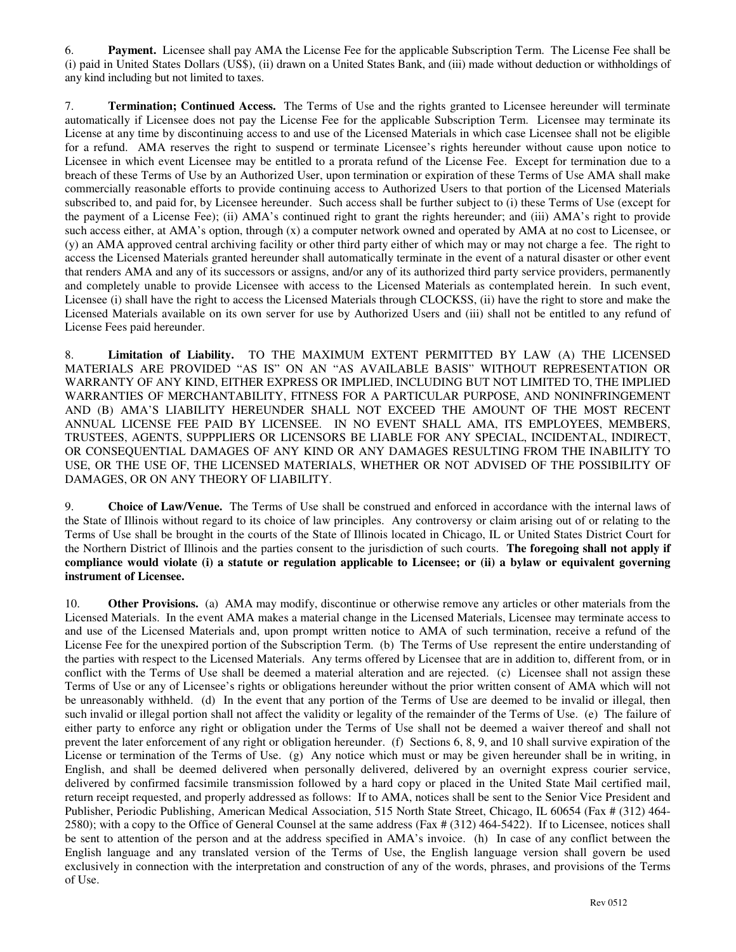6. **Payment.** Licensee shall pay AMA the License Fee for the applicable Subscription Term. The License Fee shall be (i) paid in United States Dollars (US\$), (ii) drawn on a United States Bank, and (iii) made without deduction or withholdings of any kind including but not limited to taxes.

7. **Termination; Continued Access.** The Terms of Use and the rights granted to Licensee hereunder will terminate automatically if Licensee does not pay the License Fee for the applicable Subscription Term. Licensee may terminate its License at any time by discontinuing access to and use of the Licensed Materials in which case Licensee shall not be eligible for a refund. AMA reserves the right to suspend or terminate Licensee's rights hereunder without cause upon notice to Licensee in which event Licensee may be entitled to a prorata refund of the License Fee. Except for termination due to a breach of these Terms of Use by an Authorized User, upon termination or expiration of these Terms of Use AMA shall make commercially reasonable efforts to provide continuing access to Authorized Users to that portion of the Licensed Materials subscribed to, and paid for, by Licensee hereunder. Such access shall be further subject to (i) these Terms of Use (except for the payment of a License Fee); (ii) AMA's continued right to grant the rights hereunder; and (iii) AMA's right to provide such access either, at AMA's option, through (x) a computer network owned and operated by AMA at no cost to Licensee, or (y) an AMA approved central archiving facility or other third party either of which may or may not charge a fee. The right to access the Licensed Materials granted hereunder shall automatically terminate in the event of a natural disaster or other event that renders AMA and any of its successors or assigns, and/or any of its authorized third party service providers, permanently and completely unable to provide Licensee with access to the Licensed Materials as contemplated herein. In such event, Licensee (i) shall have the right to access the Licensed Materials through CLOCKSS, (ii) have the right to store and make the Licensed Materials available on its own server for use by Authorized Users and (iii) shall not be entitled to any refund of License Fees paid hereunder.

8. **Limitation of Liability.** TO THE MAXIMUM EXTENT PERMITTED BY LAW (A) THE LICENSED MATERIALS ARE PROVIDED "AS IS" ON AN "AS AVAILABLE BASIS" WITHOUT REPRESENTATION OR WARRANTY OF ANY KIND, EITHER EXPRESS OR IMPLIED, INCLUDING BUT NOT LIMITED TO, THE IMPLIED WARRANTIES OF MERCHANTABILITY, FITNESS FOR A PARTICULAR PURPOSE, AND NONINFRINGEMENT AND (B) AMA'S LIABILITY HEREUNDER SHALL NOT EXCEED THE AMOUNT OF THE MOST RECENT ANNUAL LICENSE FEE PAID BY LICENSEE. IN NO EVENT SHALL AMA, ITS EMPLOYEES, MEMBERS, TRUSTEES, AGENTS, SUPPPLIERS OR LICENSORS BE LIABLE FOR ANY SPECIAL, INCIDENTAL, INDIRECT, OR CONSEQUENTIAL DAMAGES OF ANY KIND OR ANY DAMAGES RESULTING FROM THE INABILITY TO USE, OR THE USE OF, THE LICENSED MATERIALS, WHETHER OR NOT ADVISED OF THE POSSIBILITY OF DAMAGES, OR ON ANY THEORY OF LIABILITY.

9. **Choice of Law/Venue.** The Terms of Use shall be construed and enforced in accordance with the internal laws of the State of Illinois without regard to its choice of law principles. Any controversy or claim arising out of or relating to the Terms of Use shall be brought in the courts of the State of Illinois located in Chicago, IL or United States District Court for the Northern District of Illinois and the parties consent to the jurisdiction of such courts. **The foregoing shall not apply if compliance would violate (i) a statute or regulation applicable to Licensee; or (ii) a bylaw or equivalent governing instrument of Licensee.** 

10. **Other Provisions.** (a) AMA may modify, discontinue or otherwise remove any articles or other materials from the Licensed Materials. In the event AMA makes a material change in the Licensed Materials, Licensee may terminate access to and use of the Licensed Materials and, upon prompt written notice to AMA of such termination, receive a refund of the License Fee for the unexpired portion of the Subscription Term. (b) The Terms of Use represent the entire understanding of the parties with respect to the Licensed Materials. Any terms offered by Licensee that are in addition to, different from, or in conflict with the Terms of Use shall be deemed a material alteration and are rejected. (c) Licensee shall not assign these Terms of Use or any of Licensee's rights or obligations hereunder without the prior written consent of AMA which will not be unreasonably withheld. (d) In the event that any portion of the Terms of Use are deemed to be invalid or illegal, then such invalid or illegal portion shall not affect the validity or legality of the remainder of the Terms of Use. (e) The failure of either party to enforce any right or obligation under the Terms of Use shall not be deemed a waiver thereof and shall not prevent the later enforcement of any right or obligation hereunder. (f) Sections 6, 8, 9, and 10 shall survive expiration of the License or termination of the Terms of Use. (g) Any notice which must or may be given hereunder shall be in writing, in English, and shall be deemed delivered when personally delivered, delivered by an overnight express courier service, delivered by confirmed facsimile transmission followed by a hard copy or placed in the United State Mail certified mail, return receipt requested, and properly addressed as follows: If to AMA, notices shall be sent to the Senior Vice President and Publisher, Periodic Publishing, American Medical Association, 515 North State Street, Chicago, IL 60654 (Fax # (312) 464- 2580); with a copy to the Office of General Counsel at the same address (Fax # (312) 464-5422). If to Licensee, notices shall be sent to attention of the person and at the address specified in AMA's invoice. (h) In case of any conflict between the English language and any translated version of the Terms of Use, the English language version shall govern be used exclusively in connection with the interpretation and construction of any of the words, phrases, and provisions of the Terms of Use.